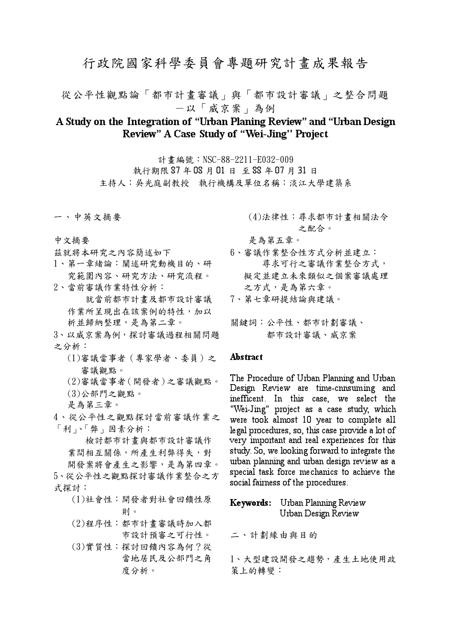# 行政院國家科學委員會專題研究計書成果報告

從公平性觀點論「都市計書審議」與「都市設計審議」之整合問題 一以「威京案」為例

## A Study on the Integration of "Urban Planing Review" and "Urban Design Review" A Case Study of "Wei-Jing" Project

計書編號: NSC-88-2211-E032-009 執行期限 87年08月01日至88年07月31日 主持人:吳光庭副教授 執行機構及單位名稱:淡江大學建築系

一、中英文摘要

- 中文摘要
- 兹就將本研究之內容簡述如下
- 1、第一章緒論:闡述研究動機目的、研 究範圍內容、研究方法、研究流程。
- 2、當前審議作業特性分析: 就當前都市計書及都市設計審議 作業所呈現出在該案例的特性,加以

析並歸納整理,是為第二章。

- 3、以威京案為例,探討審議過程相關問題 之分析:
	- (1)審議當事者 (專家學者、委員)之 審議觀點。
	- (2)審議當事者 (開發者)之審議觀點。
	- (3)公部門之觀點。
	- 是為第三章。
- 4、從公平性之觀點探討當前審議作業之 「利」、「弊」因素分析:

檢討都市計畫與都市設計審議作 業間相互關係,所產生利弊得失,對 開發案將會產生之影響,是為第四章。

5、從公平性之觀點探討審議作業整合之方 式探討:

- (1)社會性:開發者對社會回饋性原 則。
- (2)程序性:都市計畫審議時加入都 市設計預審之可行性。
- (3)實質性:探討回饋內容為何?從 當地居民及公部門之角 度分析。

(4)法律性:尋求都市計畫相關法令 之配合。

是為第五章。

6、審議作業整合性方式分析並建立: 尋求可行之審議作業整合方式, 擬定並建立未來類似之個案審議處理 之方式,是為第六章。

7、第七章研提結論與建議。

關鍵詞:公平性、都市計劃審議、 都市設計審議、威京案

#### Abstract

The Procedure of Urban Planning and Urban Design Review are time-cnnsuming and inefficent. In this case, we select the "Wei-Jing" project as a case study, which were took almost 10 year to complete all legal procedures, so, this case provide a lot of very important and real experiences for this study. So, we looking forward to integrate the urban planning and urban design review as a special task force mechanics to achieve the social fairness of the procedures.

### Keywords: Urban Planning Review Urban Design Review

二、計劃緣由與目的

1、大型建設開發之趨勢,產生土地使用政 策上的轉變: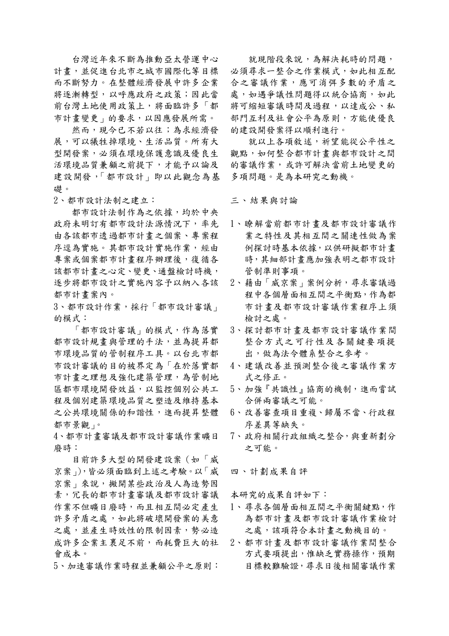台灣近年來不斷為推動亞太營運中心 計書,並促進台北市之城市國際化等目標 而不斷努力。在整體經濟發展中許多企業 將逐漸轉型,以呼應政府之政策;因此當 前台灣土地使用政策上,將面臨許多「都 市計書變更 的要求,以因應發展所需。

然而,現今已不若以往;為求經濟發 展,可以犧牲掉環境、生活品質。所有大 型開發案,必須在環境保護意識及優良生 活環境品質兼顧之前提下,才能予以論及 建設開發,「都市設計」即以此觀念為基 礎。

2、都市設計法制之建立:

都市設計法制作為之依據,均於中央 政府未明訂有都市設計法源情況下,率先 由各該都市透過都市計書之個案、專案程 序逕為實施。其都市設計實施作業,經由 專案或個案都市計畫程序辦理後,復循各 該都市計畫之心定、變更、通盤檢討時機, 逐步將都市設計之實施內容予以納入各該 都市計書案內。

3、都市設計作業,採行「都市設計審議」 的模式:

「都市設計審議」的模式,作為落實 都市設計規畫與管理的手法,並為提昇都 市環境品質的管制程序工具。以台北市都 市設計審議的目的被界定為「在於落實都 市計書之理想及強化建築管理,為管制地 區都市環境開發效益,以監控個別公共工 程及個別建築環境品質之塑造及維持基本 之公共環境關係的和諧性,進而提昇整體 都市景觀」。

4、都市計書審議及都市設計審議作業曠日 廢時:

目前許多大型的開發建設案 (如「威 京案」),皆必須面臨到上述之考驗。以「威 京案 不說, 撇開某些政治及人為造勢因 素,冗長的都市計畫審議及都市設計審議 作業不但曠日廢時,而且相互間必定產生 許多矛盾之處,如此將破壞開發案的美意 之處,並產生時效性的限制因素,勢必造 成許多企業主裹足不前,而耗費巨大的社 會成本。

5、加速審議作業時程並兼顧公平之原則:

就現階段來說,為解決耗時的問題, 必須尋求一整合之作業模式,如此相互配 合之審議作業,應可消弭多數的矛盾之 處,如遇爭議性問題得以統合協商,如此 將可縮短審議時間及過程,以達成公、私 部門互利及社會公平為原則,方能使優良 的建設開發案得以順利進行。

就以上各項敘述, 祈望能從公平性之 觀點,如何整合都市計書與都市設計之間 的審議作業,或許可解決當前土地變更的 多項問題。是為本研究之動機。

三、結果與討論

- 1、瞭解當前都市計畫及都市設計審議作 業之特性及其相互間之關連性做為案 例探討時基本依據,以供研擬都市計書 時,其細部計畫應加強表明之都市設計 管制準則事項。
- 2、藉由「威京案」案例分析,尋求審議過 程中各個層面相互間之平衡點,作為都 市計書及都市設計審議作業程序上須 檢討之處。
- 3、探討都市計書及都市設計審議作業間 整合方式之可行性及各關鍵要項提 出,做為法今體系整合之參考。
- 4、建議改善並預測整合後之審議作業方 式之修正。
- 5、加強『共識性』協商的機制,進而嘗試 合併兩審議之可能。
- 6、改善審查項目重複、歸屬不當、行政程 序差異等缺失。
- 7、政府相關行政組織之整合,與重新劃分 之可能。

四、計劃成果自評

本研究的成果自評如下:

- 1、尋求各個層面相互間之平衡關鍵點,作 為都市計書及都市設計審議作業檢討 之處,該項符合本計書之動機目的。
- 2、都市計書及都市設計審議作業間整合 方式要項提出,惟缺乏實務操作,預期 目標較難驗證,尋求日後相關審議作業